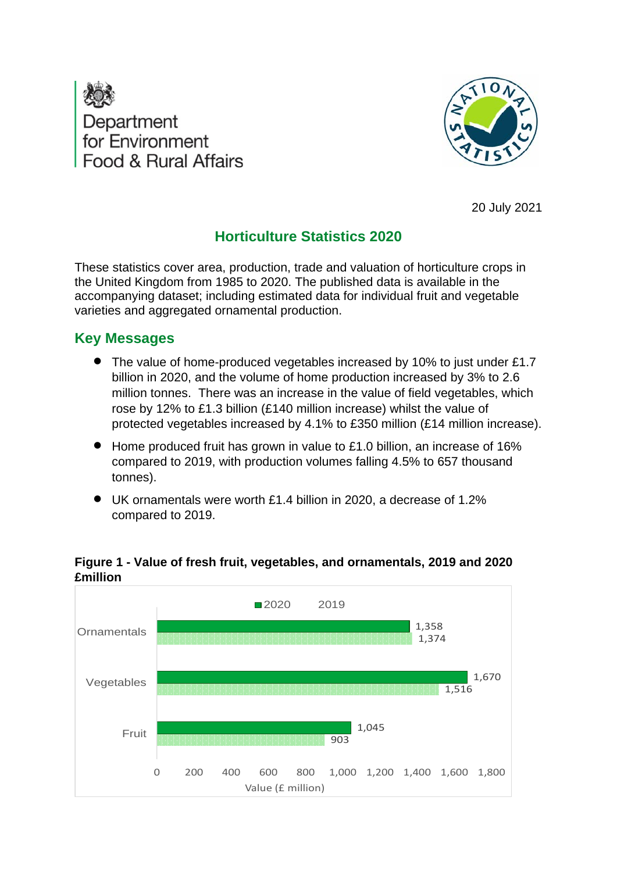



20 July 2021

# **Horticulture Statistics 2020**

<span id="page-0-0"></span>These statistics cover area, production, trade and valuation of horticulture crops in the United Kingdom from 1985 to 2020. The published data is available in the accompanying dataset; including estimated data for individual fruit and vegetable varieties and aggregated ornamental production.

# <span id="page-0-1"></span>**Key Messages**

- The value of home-produced vegetables increased by 10% to just under £1.7 billion in 2020, and the volume of home production increased by 3% to 2.6 million tonnes. There was an increase in the value of field vegetables, which rose by 12% to £1.3 billion (£140 million increase) whilst the value of protected vegetables increased by 4.1% to £350 million (£14 million increase).
- Home produced fruit has grown in value to £1.0 billion, an increase of 16% compared to 2019, with production volumes falling 4.5% to 657 thousand tonnes).
- UK ornamentals were worth £1.4 billion in 2020, a decrease of 1.2% compared to 2019.



### <span id="page-0-2"></span>**Figure 1 - Value of fresh fruit, vegetables, and ornamentals, 2019 and 2020 £million**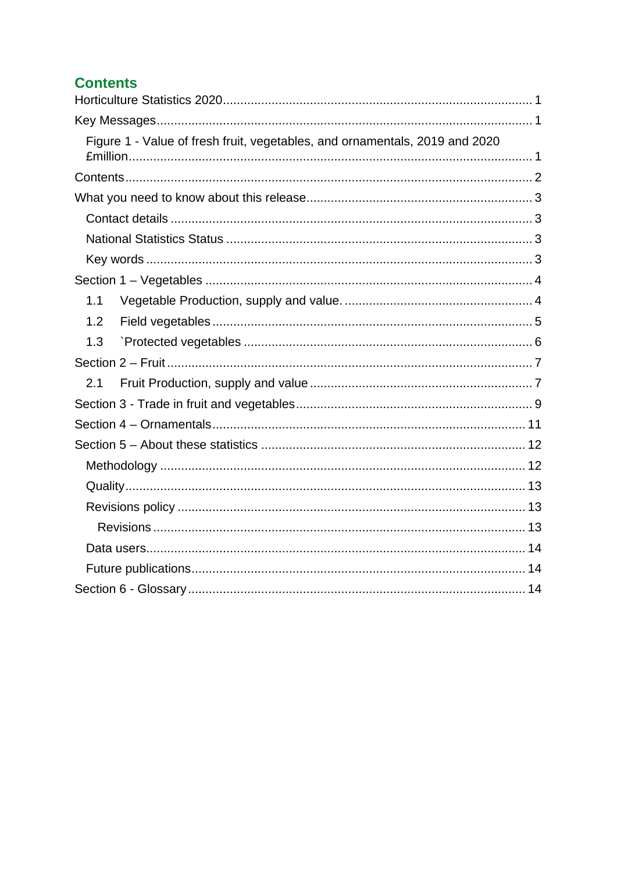# <span id="page-1-0"></span>**Contents**

| Figure 1 - Value of fresh fruit, vegetables, and ornamentals, 2019 and 2020 |  |
|-----------------------------------------------------------------------------|--|
|                                                                             |  |
|                                                                             |  |
|                                                                             |  |
|                                                                             |  |
|                                                                             |  |
|                                                                             |  |
| 1.1                                                                         |  |
| 1.2                                                                         |  |
| 1.3                                                                         |  |
|                                                                             |  |
| 2.1                                                                         |  |
|                                                                             |  |
|                                                                             |  |
|                                                                             |  |
|                                                                             |  |
|                                                                             |  |
|                                                                             |  |
|                                                                             |  |
|                                                                             |  |
|                                                                             |  |
|                                                                             |  |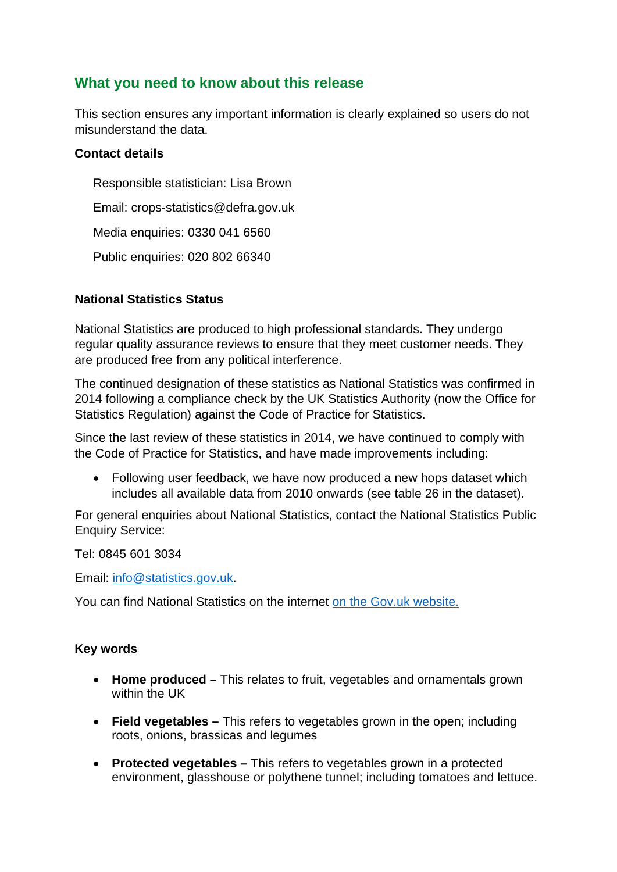## <span id="page-2-0"></span>**What you need to know about this release**

This section ensures any important information is clearly explained so users do not misunderstand the data.

### <span id="page-2-1"></span>**Contact details**

Responsible statistician: Lisa Brown Email: crops-statistics@defra.gov.uk Media enquiries: 0330 041 6560 Public enquiries: 020 802 66340

### <span id="page-2-2"></span>**National Statistics Status**

National Statistics are produced to high professional standards. They undergo regular quality assurance reviews to ensure that they meet customer needs. They are produced free from any political interference.

The continued designation of these statistics as National Statistics was confirmed in 2014 following a compliance check by the UK Statistics Authority (now the Office for Statistics Regulation) against the Code of Practice for Statistics.

Since the last review of these statistics in 2014, we have continued to comply with the Code of Practice for Statistics, and have made improvements including:

• Following user feedback, we have now produced a new hops dataset which includes all available data from 2010 onwards (see table 26 in the dataset).

For general enquiries about National Statistics, contact the National Statistics Public Enquiry Service:

Tel: 0845 601 3034

Email: [info@statistics.gov.uk.](mailto:info@statistics.gov.uk)

You can find National Statistics on the internet [on the Gov.uk](http://www.statistics.gov.uk/) website.

### <span id="page-2-3"></span>**Key words**

- **Home produced –** This relates to fruit, vegetables and ornamentals grown within the UK
- **Field vegetables –** This refers to vegetables grown in the open; including roots, onions, brassicas and legumes
- **Protected vegetables –** This refers to vegetables grown in a protected environment, glasshouse or polythene tunnel; including tomatoes and lettuce.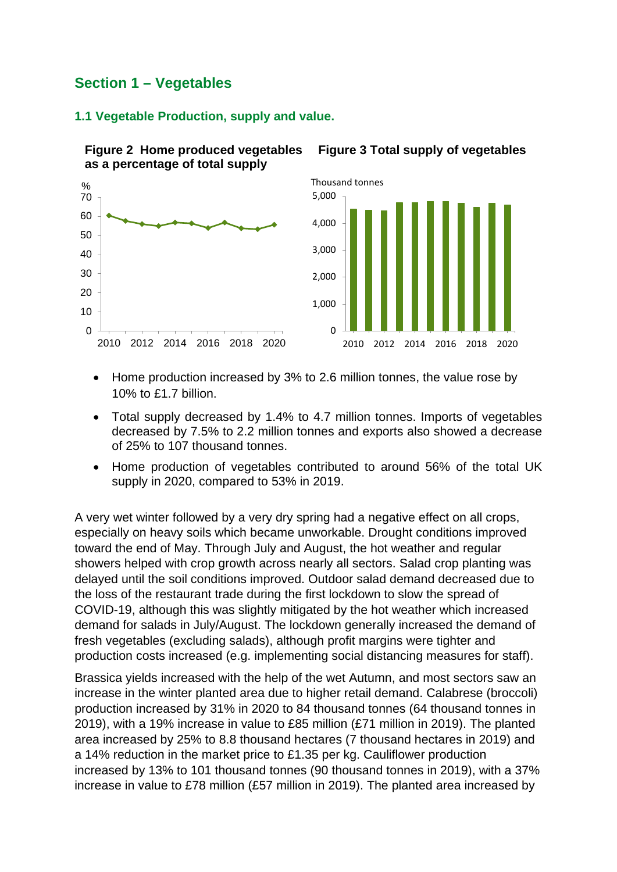# <span id="page-3-0"></span>**Section 1 – Vegetables**

### <span id="page-3-1"></span>**1.1 Vegetable Production, supply and value.**

**Figure 2 Home produced vegetables** 



**Figure 3 Total supply of vegetables**

- Home production increased by 3% to 2.6 million tonnes, the value rose by 10% to £1.7 billion.
- Total supply decreased by 1.4% to 4.7 million tonnes. Imports of vegetables decreased by 7.5% to 2.2 million tonnes and exports also showed a decrease of 25% to 107 thousand tonnes.
- Home production of vegetables contributed to around 56% of the total UK supply in 2020, compared to 53% in 2019.

A very wet winter followed by a very dry spring had a negative effect on all crops, especially on heavy soils which became unworkable. Drought conditions improved toward the end of May. Through July and August, the hot weather and regular showers helped with crop growth across nearly all sectors. Salad crop planting was delayed until the soil conditions improved. Outdoor salad demand decreased due to the loss of the restaurant trade during the first lockdown to slow the spread of COVID-19, although this was slightly mitigated by the hot weather which increased demand for salads in July/August. The lockdown generally increased the demand of fresh vegetables (excluding salads), although profit margins were tighter and production costs increased (e.g. implementing social distancing measures for staff).

Brassica yields increased with the help of the wet Autumn, and most sectors saw an increase in the winter planted area due to higher retail demand. Calabrese (broccoli) production increased by 31% in 2020 to 84 thousand tonnes (64 thousand tonnes in 2019), with a 19% increase in value to £85 million (£71 million in 2019). The planted area increased by 25% to 8.8 thousand hectares (7 thousand hectares in 2019) and a 14% reduction in the market price to £1.35 per kg. Cauliflower production increased by 13% to 101 thousand tonnes (90 thousand tonnes in 2019), with a 37% increase in value to £78 million (£57 million in 2019). The planted area increased by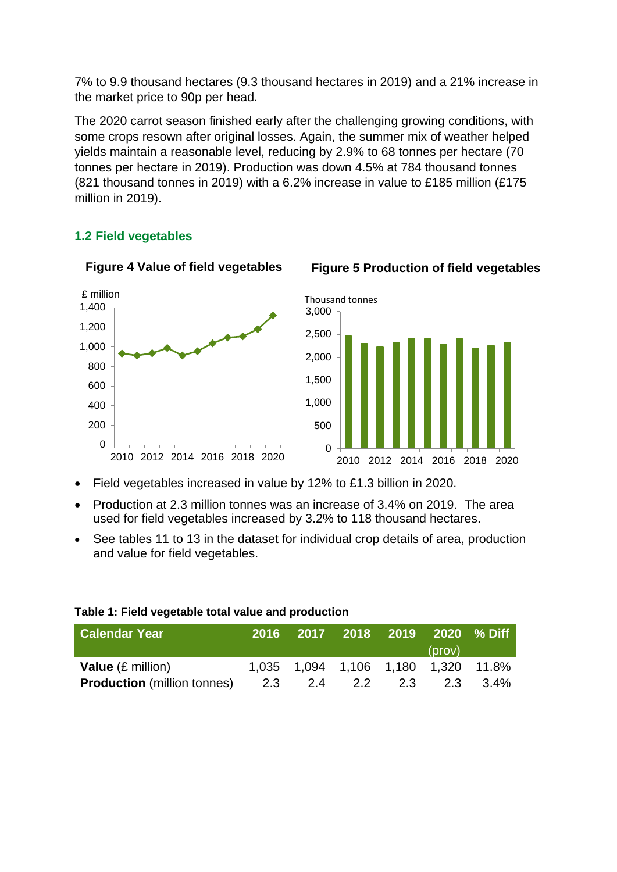7% to 9.9 thousand hectares (9.3 thousand hectares in 2019) and a 21% increase in the market price to 90p per head.

The 2020 carrot season finished early after the challenging growing conditions, with some crops resown after original losses. Again, the summer mix of weather helped yields maintain a reasonable level, reducing by 2.9% to 68 tonnes per hectare (70 tonnes per hectare in 2019). Production was down 4.5% at 784 thousand tonnes (821 thousand tonnes in 2019) with a 6.2% increase in value to £185 million (£175 million in 2019).

### <span id="page-4-0"></span>**1.2 Field vegetables**

**Figure 4 Value of field vegetables**



- Field vegetables increased in value by 12% to £1.3 billion in 2020.
- Production at 2.3 million tonnes was an increase of 3.4% on 2019. The area used for field vegetables increased by 3.2% to 118 thousand hectares.
- See tables 11 to 13 in the dataset for individual crop details of area, production and value for field vegetables.

| <b>Calendar Year</b>               |     |     | 2016 2017 2018 2019 2020 % Diff     |         |        |          |
|------------------------------------|-----|-----|-------------------------------------|---------|--------|----------|
|                                    |     |     |                                     |         | (prov) |          |
| <b>Value</b> $(E \text{ million})$ |     |     | 1,035 1,094 1,106 1,180 1,320 11.8% |         |        |          |
| <b>Production</b> (million tonnes) | 2.3 | 2.4 |                                     | 2.2 2.3 |        | 2.3 3.4% |

#### **Table 1: Field vegetable total value and production**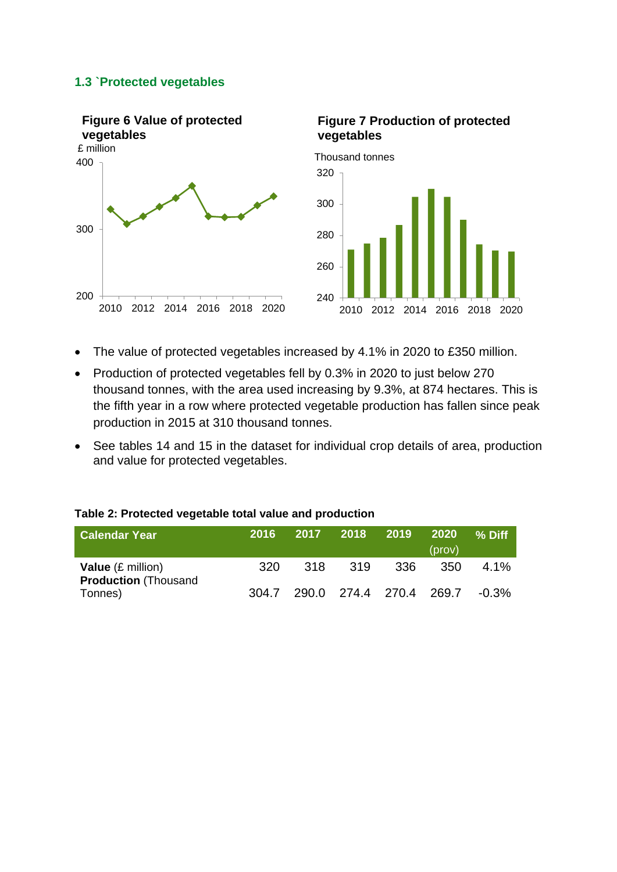#### <span id="page-5-0"></span>**1.3 `Protected vegetables**



- The value of protected vegetables increased by 4.1% in 2020 to £350 million.
- Production of protected vegetables fell by 0.3% in 2020 to just below 270 thousand tonnes, with the area used increasing by 9.3%, at 874 hectares. This is the fifth year in a row where protected vegetable production has fallen since peak production in 2015 at 310 thousand tonnes.
- See tables 14 and 15 in the dataset for individual crop details of area, production and value for protected vegetables.

#### **Table 2: Protected vegetable total value and production**

| <b>Calendar Year</b>                                     | <b>2016</b> |      | 2017 2018 2019 |      | -2020<br>(prov)         | % Diff   |
|----------------------------------------------------------|-------------|------|----------------|------|-------------------------|----------|
| <b>Value</b> (£ million)<br><b>Production (Thousand)</b> | .320        | .318 | -319           | -336 | 350                     | $4.1\%$  |
| Tonnes)                                                  | 304.7       |      |                |      | 290.0 274.4 270.4 269.7 | $-0.3\%$ |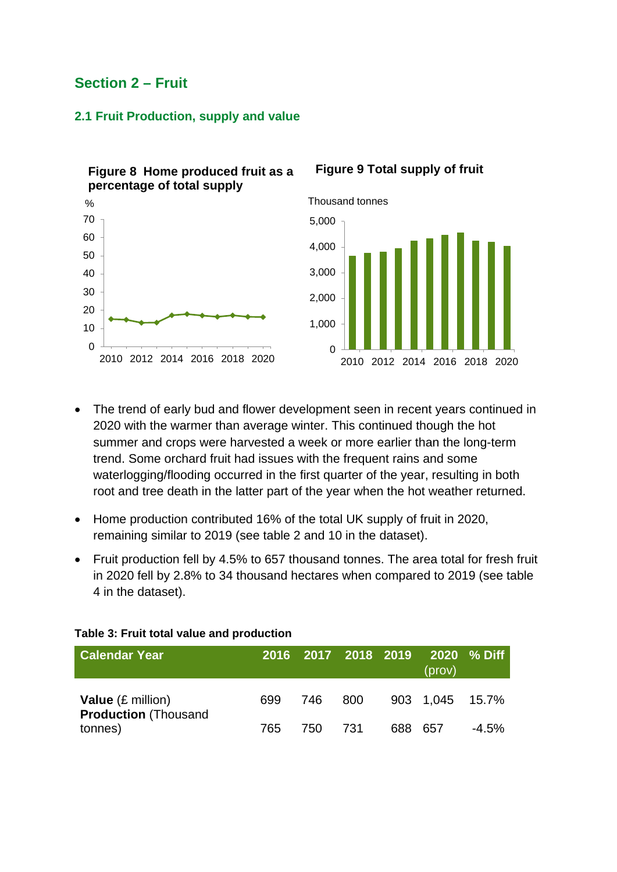## <span id="page-6-0"></span>**Section 2 – Fruit**

### <span id="page-6-1"></span>**2.1 Fruit Production, supply and value**

0 10 20 30 40 50 60 70 2010 2012 2014 2016 2018 2020 % **Figure 8 Home produced fruit as a percentage of total supply**

### **Figure 9 Total supply of fruit**



- The trend of early bud and flower development seen in recent years continued in 2020 with the warmer than average winter. This continued though the hot summer and crops were harvested a week or more earlier than the long-term trend. Some orchard fruit had issues with the frequent rains and some waterlogging/flooding occurred in the first quarter of the year, resulting in both root and tree death in the latter part of the year when the hot weather returned.
- Home production contributed 16% of the total UK supply of fruit in 2020, remaining similar to 2019 (see table 2 and 10 in the dataset).
- Fruit production fell by 4.5% to 657 thousand tonnes. The area total for fresh fruit in 2020 fell by 2.8% to 34 thousand hectares when compared to 2019 (see table 4 in the dataset).

| <b>Calendar Year</b>                                    |     | 2016 2017 2018 2019 |     |         | (prov)          | $\frac{1}{2020}$ % Diff |
|---------------------------------------------------------|-----|---------------------|-----|---------|-----------------|-------------------------|
| <b>Value</b> (£ million)<br><b>Production (Thousand</b> | 699 | 746 800             |     |         | 903 1.045 15.7% |                         |
| tonnes)                                                 | 765 | 750 -               | 731 | 688 657 |                 | $-4.5\%$                |

#### **Table 3: Fruit total value and production**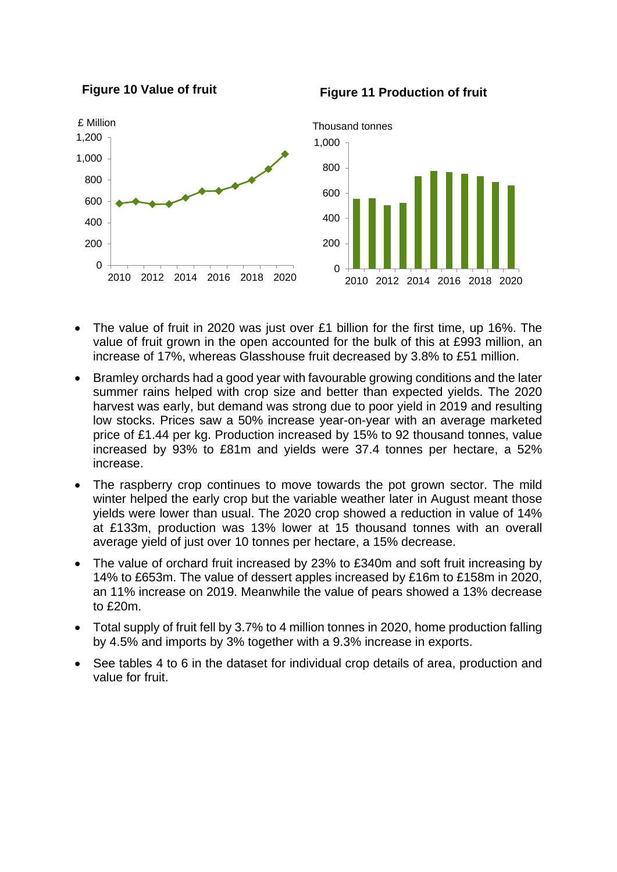

**Figure 10 Value of fruit**

- The value of fruit in 2020 was just over £1 billion for the first time, up 16%. The value of fruit grown in the open accounted for the bulk of this at £993 million, an increase of 17%, whereas Glasshouse fruit decreased by 3.8% to £51 million.
- Bramley orchards had a good year with favourable growing conditions and the later summer rains helped with crop size and better than expected yields. The 2020 harvest was early, but demand was strong due to poor yield in 2019 and resulting low stocks. Prices saw a 50% increase year-on-year with an average marketed price of £1.44 per kg. Production increased by 15% to 92 thousand tonnes, value increased by 93% to £81m and yields were 37.4 tonnes per hectare, a 52% increase.
- The raspberry crop continues to move towards the pot grown sector. The mild winter helped the early crop but the variable weather later in August meant those yields were lower than usual. The 2020 crop showed a reduction in value of 14% at £133m, production was 13% lower at 15 thousand tonnes with an overall average yield of just over 10 tonnes per hectare, a 15% decrease.
- The value of orchard fruit increased by 23% to £340m and soft fruit increasing by 14% to £653m. The value of dessert apples increased by £16m to £158m in 2020, an 11% increase on 2019. Meanwhile the value of pears showed a 13% decrease to £20m.
- Total supply of fruit fell by 3.7% to 4 million tonnes in 2020, home production falling by 4.5% and imports by 3% together with a 9.3% increase in exports.
- See tables 4 to 6 in the dataset for individual crop details of area, production and value for fruit.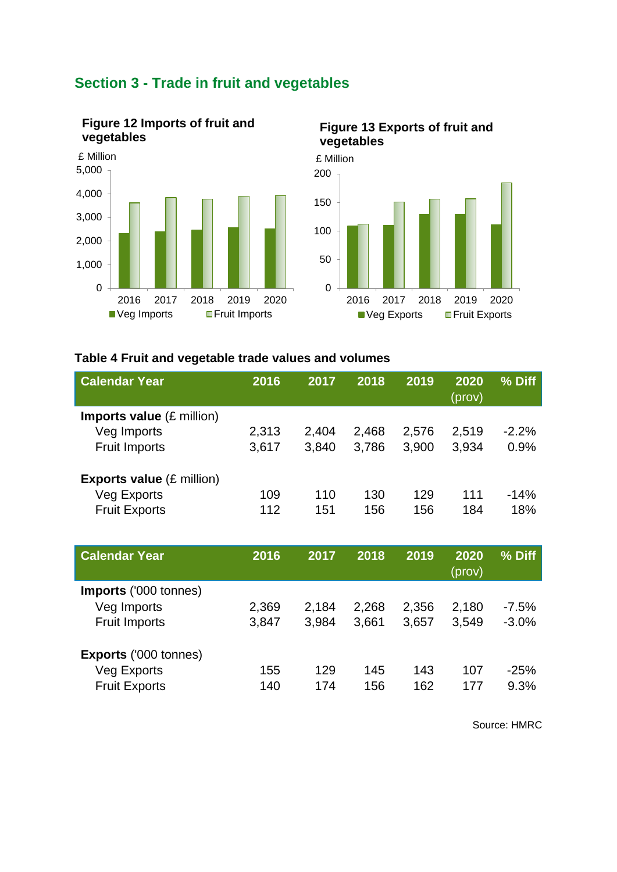

# <span id="page-8-0"></span>**Section 3 - Trade in fruit and vegetables**



### **Table 4 Fruit and vegetable trade values and volumes**

| <b>Calendar Year</b>                       | 2016  | 2017  | 2018  | 2019  | 2020<br>(prov) | % Diff  |
|--------------------------------------------|-------|-------|-------|-------|----------------|---------|
| <b>Imports value</b> $(E \text{ million})$ |       |       |       |       |                |         |
| Veg Imports                                | 2,313 | 2,404 | 2,468 | 2,576 | 2,519          | $-2.2%$ |
| <b>Fruit Imports</b>                       | 3,617 | 3,840 | 3,786 | 3,900 | 3,934          | 0.9%    |
| <b>Exports value (£ million)</b>           |       |       |       |       |                |         |
| <b>Veg Exports</b>                         | 109   | 110   | 130   | 129   | 111            | $-14%$  |
| <b>Fruit Exports</b>                       | 112   | 151   | 156   | 156   | 184            | 18%     |
|                                            |       |       |       |       |                |         |
|                                            |       |       |       |       |                |         |
| <b>Calendar Year</b>                       | 2016  | 2017  | 2018  | 2019  | 2020<br>(prov) | % Diff  |
|                                            |       |       |       |       |                |         |
| Imports ('000 tonnes)<br>Veg Imports       | 2,369 | 2,184 | 2,268 | 2,356 | 2,180          | $-7.5%$ |
| <b>Fruit Imports</b>                       | 3,847 | 3,984 | 3,661 | 3,657 | 3,549          | $-3.0%$ |
| <b>Exports ('000 tonnes)</b>               |       |       |       |       |                |         |
| Veg Exports                                | 155   | 129   | 145   | 143   | 107            | $-25%$  |

Source: HMRC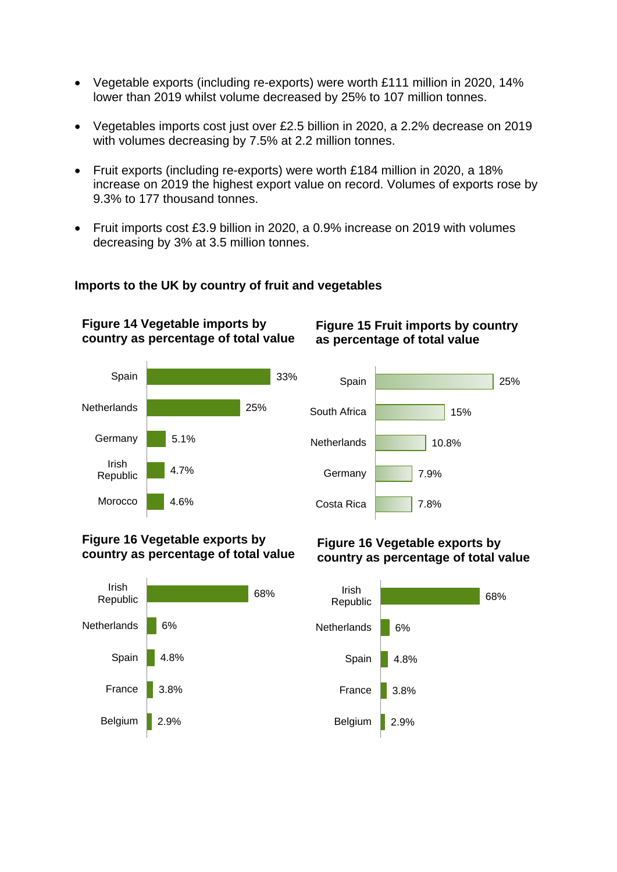- Vegetable exports (including re-exports) were worth £111 million in 2020, 14% lower than 2019 whilst volume decreased by 25% to 107 million tonnes.
- Vegetables imports cost just over £2.5 billion in 2020, a 2.2% decrease on 2019 with volumes decreasing by 7.5% at 2.2 million tonnes.
- Fruit exports (including re-exports) were worth £184 million in 2020, a 18% increase on 2019 the highest export value on record. Volumes of exports rose by 9.3% to 177 thousand tonnes.
- Fruit imports cost £3.9 billion in 2020, a 0.9% increase on 2019 with volumes decreasing by 3% at 3.5 million tonnes.

### **Imports to the UK by country of fruit and vegetables**

4.6% 4.7% 5.1% 25% 33% Morocco Irish Republic **Germany Netherlands** Spain **country as percentage of total value**

**Figure 14 Vegetable imports by** 

### **Figure 15 Fruit imports by country as percentage of total value**



#### **Figure 16 Vegetable exports by country as percentage of total value**



#### **Figure 16 Vegetable exports by country as percentage of total value**

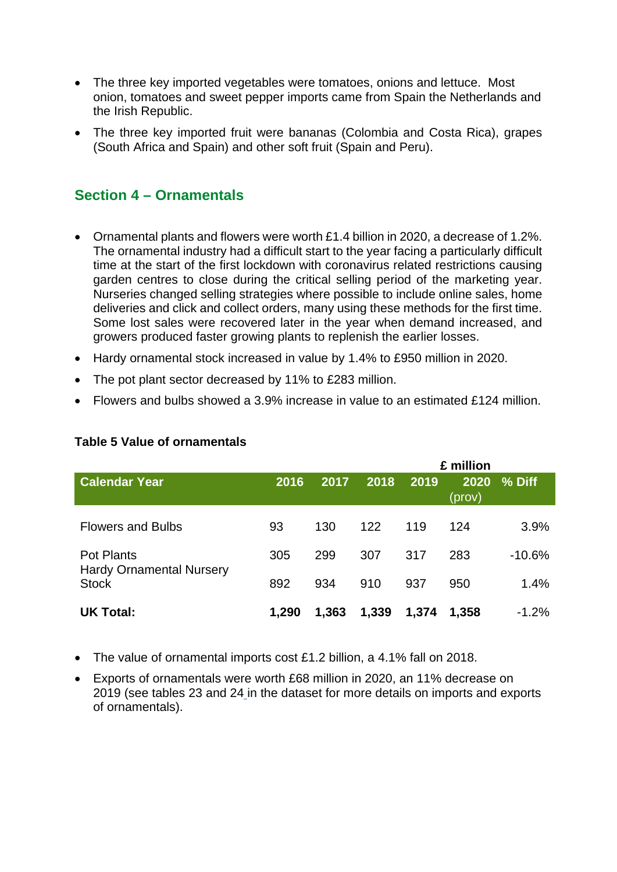- The three key imported vegetables were tomatoes, onions and lettuce. Most onion, tomatoes and sweet pepper imports came from Spain the Netherlands and the Irish Republic.
- The three key imported fruit were bananas (Colombia and Costa Rica), grapes (South Africa and Spain) and other soft fruit (Spain and Peru).

## <span id="page-10-0"></span>**Section 4 – Ornamentals**

- Ornamental plants and flowers were worth £1.4 billion in 2020, a decrease of 1.2%. The ornamental industry had a difficult start to the year facing a particularly difficult time at the start of the first lockdown with coronavirus related restrictions causing garden centres to close during the critical selling period of the marketing year. Nurseries changed selling strategies where possible to include online sales, home deliveries and click and collect orders, many using these methods for the first time. Some lost sales were recovered later in the year when demand increased, and growers produced faster growing plants to replenish the earlier losses.
- Hardy ornamental stock increased in value by 1.4% to £950 million in 2020.
- The pot plant sector decreased by 11% to £283 million.
- Flowers and bulbs showed a 3.9% increase in value to an estimated £124 million.

|                                                                      |       |       | £ million |       |                |          |
|----------------------------------------------------------------------|-------|-------|-----------|-------|----------------|----------|
| <b>Calendar Year</b>                                                 | 2016  | 2017  | 2018      | 2019  | 2020<br>(prov) | % Diff   |
| <b>Flowers and Bulbs</b>                                             | 93    | 130   | 122       | 119   | 124            | 3.9%     |
| <b>Pot Plants</b><br><b>Hardy Ornamental Nursery</b><br><b>Stock</b> | 305   | 299   | 307       | 317   | 283            | $-10.6%$ |
|                                                                      | 892   | 934   | 910       | 937   | 950            | 1.4%     |
| <b>UK Total:</b>                                                     | 1,290 | 1,363 | 1,339     | 1,374 | 1,358          | $-1.2%$  |

#### **Table 5 Value of ornamentals**

- The value of ornamental imports cost £1.2 billion, a 4.1% fall on 2018.
- Exports of ornamentals were worth £68 million in 2020, an 11% decrease on 2019 (see tables 23 and 24 in the dataset for more details on imports and exports of ornamentals).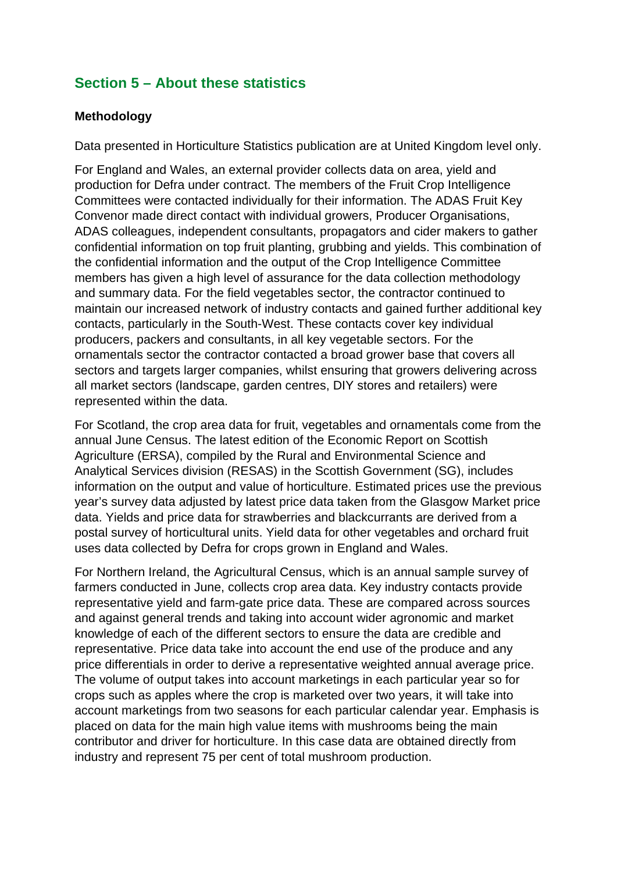# <span id="page-11-0"></span>**Section 5 – About these statistics**

#### <span id="page-11-1"></span>**Methodology**

Data presented in Horticulture Statistics publication are at United Kingdom level only.

For England and Wales, an external provider collects data on area, yield and production for Defra under contract. The members of the Fruit Crop Intelligence Committees were contacted individually for their information. The ADAS Fruit Key Convenor made direct contact with individual growers, Producer Organisations, ADAS colleagues, independent consultants, propagators and cider makers to gather confidential information on top fruit planting, grubbing and yields. This combination of the confidential information and the output of the Crop Intelligence Committee members has given a high level of assurance for the data collection methodology and summary data. For the field vegetables sector, the contractor continued to maintain our increased network of industry contacts and gained further additional key contacts, particularly in the South-West. These contacts cover key individual producers, packers and consultants, in all key vegetable sectors. For the ornamentals sector the contractor contacted a broad grower base that covers all sectors and targets larger companies, whilst ensuring that growers delivering across all market sectors (landscape, garden centres, DIY stores and retailers) were represented within the data.

For Scotland, the crop area data for fruit, vegetables and ornamentals come from the annual June Census. The latest edition of the Economic Report on Scottish Agriculture (ERSA), compiled by the Rural and Environmental Science and Analytical Services division (RESAS) in the Scottish Government (SG), includes information on the output and value of horticulture. Estimated prices use the previous year's survey data adjusted by latest price data taken from the Glasgow Market price data. Yields and price data for strawberries and blackcurrants are derived from a postal survey of horticultural units. Yield data for other vegetables and orchard fruit uses data collected by Defra for crops grown in England and Wales.

For Northern Ireland, the Agricultural Census, which is an annual sample survey of farmers conducted in June, collects crop area data. Key industry contacts provide representative yield and farm-gate price data. These are compared across sources and against general trends and taking into account wider agronomic and market knowledge of each of the different sectors to ensure the data are credible and representative. Price data take into account the end use of the produce and any price differentials in order to derive a representative weighted annual average price. The volume of output takes into account marketings in each particular year so for crops such as apples where the crop is marketed over two years, it will take into account marketings from two seasons for each particular calendar year. Emphasis is placed on data for the main high value items with mushrooms being the main contributor and driver for horticulture. In this case data are obtained directly from industry and represent 75 per cent of total mushroom production.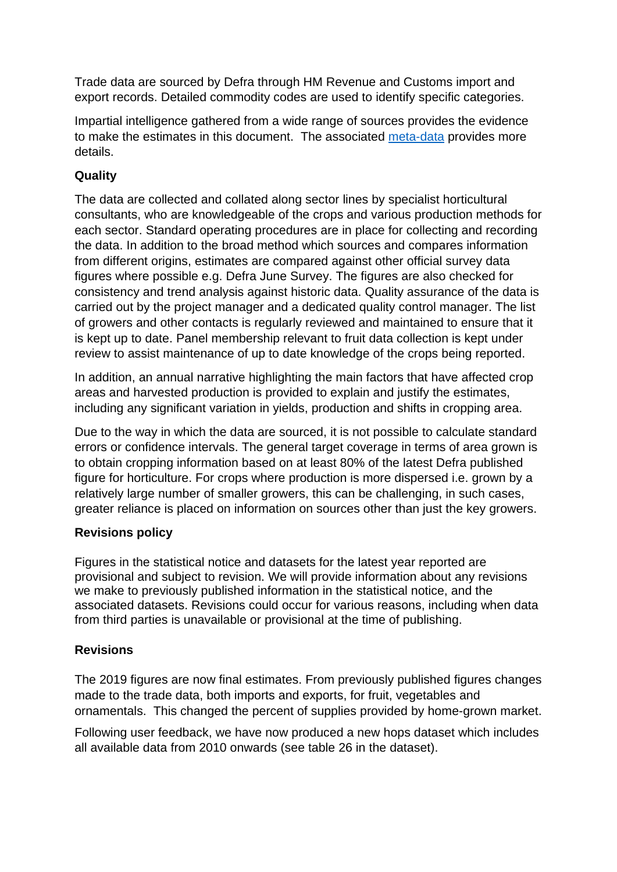Trade data are sourced by Defra through HM Revenue and Customs import and export records. Detailed commodity codes are used to identify specific categories.

Impartial intelligence gathered from a wide range of sources provides the evidence to make the estimates in this document. The associated [meta-data](https://www.gov.uk/government/collections/horticultural-statistics) provides more details.

## <span id="page-12-0"></span>**Quality**

The data are collected and collated along sector lines by specialist horticultural consultants, who are knowledgeable of the crops and various production methods for each sector. Standard operating procedures are in place for collecting and recording the data. In addition to the broad method which sources and compares information from different origins, estimates are compared against other official survey data figures where possible e.g. Defra June Survey. The figures are also checked for consistency and trend analysis against historic data. Quality assurance of the data is carried out by the project manager and a dedicated quality control manager. The list of growers and other contacts is regularly reviewed and maintained to ensure that it is kept up to date. Panel membership relevant to fruit data collection is kept under review to assist maintenance of up to date knowledge of the crops being reported.

In addition, an annual narrative highlighting the main factors that have affected crop areas and harvested production is provided to explain and justify the estimates, including any significant variation in yields, production and shifts in cropping area.

Due to the way in which the data are sourced, it is not possible to calculate standard errors or confidence intervals. The general target coverage in terms of area grown is to obtain cropping information based on at least 80% of the latest Defra published figure for horticulture. For crops where production is more dispersed i.e. grown by a relatively large number of smaller growers, this can be challenging, in such cases, greater reliance is placed on information on sources other than just the key growers.

### <span id="page-12-1"></span>**Revisions policy**

Figures in the statistical notice and datasets for the latest year reported are provisional and subject to revision. We will provide information about any revisions we make to previously published information in the statistical notice, and the associated datasets. Revisions could occur for various reasons, including when data from third parties is unavailable or provisional at the time of publishing.

### <span id="page-12-2"></span>**Revisions**

The 2019 figures are now final estimates. From previously published figures changes made to the trade data, both imports and exports, for fruit, vegetables and ornamentals. This changed the percent of supplies provided by home-grown market.

Following user feedback, we have now produced a new hops dataset which includes all available data from 2010 onwards (see table 26 in the dataset).